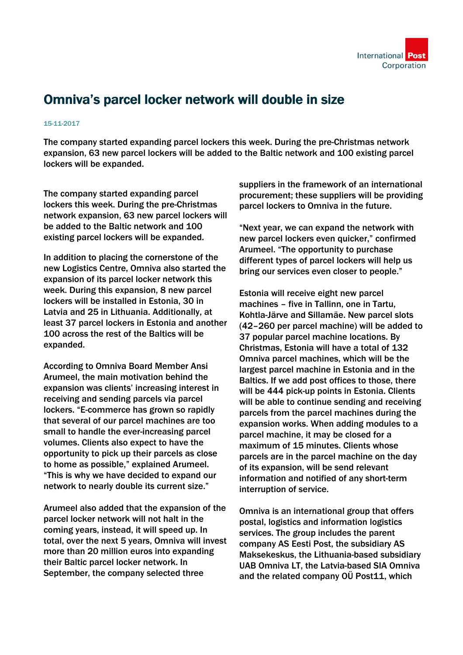

## Omniva's parcel locker network will double in size

## 15-11-2017

The company started expanding parcel lockers this week. During the pre-Christmas network expansion, 63 new parcel lockers will be added to the Baltic network and 100 existing parcel lockers will be expanded.

The company started expanding parcel lockers this week. During the pre-Christmas network expansion, 63 new parcel lockers will be added to the Baltic network and 100 existing parcel lockers will be expanded.

In addition to placing the cornerstone of the new Logistics Centre, Omniva also started the expansion of its parcel locker network this week. During this expansion, 8 new parcel lockers will be installed in Estonia, 30 in Latvia and 25 in Lithuania. Additionally, at least 37 parcel lockers in Estonia and another 100 across the rest of the Baltics will be expanded.

According to Omniva Board Member Ansi Arumeel, the main motivation behind the expansion was clients' increasing interest in receiving and sending parcels via parcel lockers. "E-commerce has grown so rapidly that several of our parcel machines are too small to handle the ever-increasing parcel volumes. Clients also expect to have the opportunity to pick up their parcels as close to home as possible," explained Arumeel. "This is why we have decided to expand our network to nearly double its current size."

Arumeel also added that the expansion of the parcel locker network will not halt in the coming years, instead, it will speed up. In total, over the next 5 years, Omniva will invest more than 20 million euros into expanding their Baltic parcel locker network. In September, the company selected three

suppliers in the framework of an international procurement; these suppliers will be providing parcel lockers to Omniva in the future.

"Next year, we can expand the network with new parcel lockers even quicker," confirmed Arumeel. "The opportunity to purchase different types of parcel lockers will help us bring our services even closer to people."

Estonia will receive eight new parcel machines – five in Tallinn, one in Tartu, Kohtla-Järve and Sillamäe. New parcel slots (42–260 per parcel machine) will be added to 37 popular parcel machine locations. By Christmas, Estonia will have a total of 132 Omniva parcel machines, which will be the largest parcel machine in Estonia and in the Baltics. If we add post offices to those, there will be 444 pick-up points in Estonia. Clients will be able to continue sending and receiving parcels from the parcel machines during the expansion works. When adding modules to a parcel machine, it may be closed for a maximum of 15 minutes. Clients whose parcels are in the parcel machine on the day of its expansion, will be send relevant information and notified of any short-term interruption of service.

Omniva is an international group that offers postal, logistics and information logistics services. The group includes the parent company AS Eesti Post, the subsidiary AS Maksekeskus, the Lithuania-based subsidiary UAB Omniva LT, the Latvia-based SIA Omniva and the related company OÜ Post11, which